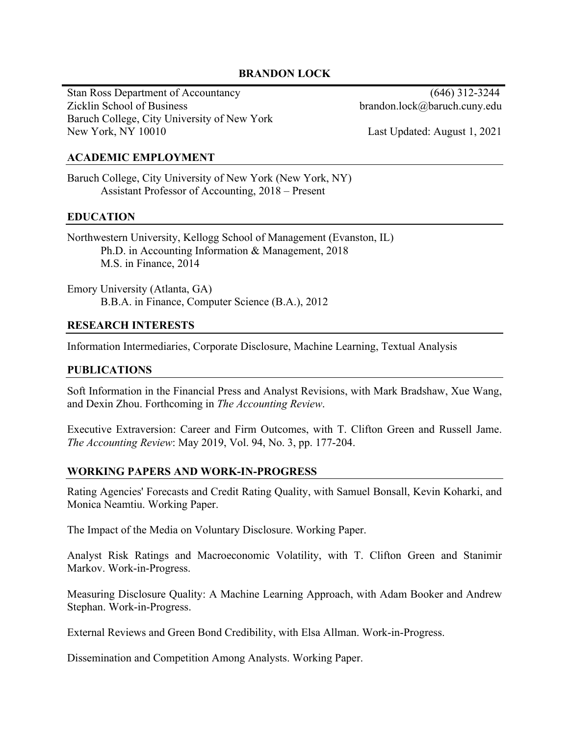## **BRANDON LOCK**

Stan Ross Department of Accountancy (646) 312-3244 Zicklin School of Business brandon.lock@baruch.cuny.edu Baruch College, City University of New York New York, NY 10010 Last Updated: August 1, 2021

## **ACADEMIC EMPLOYMENT**

Baruch College, City University of New York (New York, NY) Assistant Professor of Accounting, 2018 – Present

## **EDUCATION**

Northwestern University, Kellogg School of Management (Evanston, IL) Ph.D. in Accounting Information & Management, 2018 M.S. in Finance, 2014

Emory University (Atlanta, GA) B.B.A. in Finance, Computer Science (B.A.), 2012

## **RESEARCH INTERESTS**

Information Intermediaries, Corporate Disclosure, Machine Learning, Textual Analysis

#### **PUBLICATIONS**

Soft Information in the Financial Press and Analyst Revisions, with Mark Bradshaw, Xue Wang, and Dexin Zhou. Forthcoming in *The Accounting Review*.

Executive Extraversion: Career and Firm Outcomes, with T. Clifton Green and Russell Jame. *The Accounting Review*: May 2019, Vol. 94, No. 3, pp. 177-204.

#### **WORKING PAPERS AND WORK-IN-PROGRESS**

Rating Agencies' Forecasts and Credit Rating Quality, with Samuel Bonsall, Kevin Koharki, and Monica Neamtiu. Working Paper.

The Impact of the Media on Voluntary Disclosure. Working Paper.

Analyst Risk Ratings and Macroeconomic Volatility, with T. Clifton Green and Stanimir Markov. Work-in-Progress.

Measuring Disclosure Quality: A Machine Learning Approach, with Adam Booker and Andrew Stephan. Work-in-Progress.

External Reviews and Green Bond Credibility, with Elsa Allman. Work-in-Progress.

Dissemination and Competition Among Analysts. Working Paper.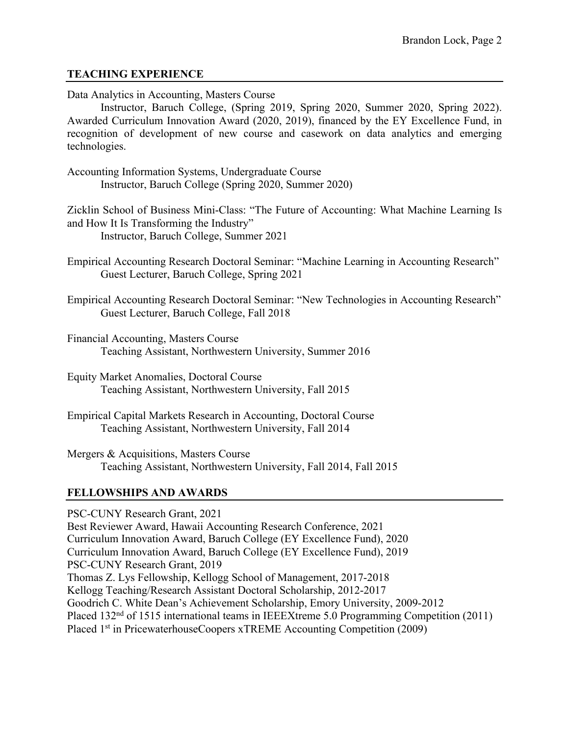## **TEACHING EXPERIENCE**

Data Analytics in Accounting, Masters Course

Instructor, Baruch College, (Spring 2019, Spring 2020, Summer 2020, Spring 2022). Awarded Curriculum Innovation Award (2020, 2019), financed by the EY Excellence Fund, in recognition of development of new course and casework on data analytics and emerging technologies.

Accounting Information Systems, Undergraduate Course Instructor, Baruch College (Spring 2020, Summer 2020)

Zicklin School of Business Mini-Class: "The Future of Accounting: What Machine Learning Is and How It Is Transforming the Industry" Instructor, Baruch College, Summer 2021

Empirical Accounting Research Doctoral Seminar: "Machine Learning in Accounting Research" Guest Lecturer, Baruch College, Spring 2021

Empirical Accounting Research Doctoral Seminar: "New Technologies in Accounting Research" Guest Lecturer, Baruch College, Fall 2018

- Financial Accounting, Masters Course Teaching Assistant, Northwestern University, Summer 2016
- Equity Market Anomalies, Doctoral Course Teaching Assistant, Northwestern University, Fall 2015
- Empirical Capital Markets Research in Accounting, Doctoral Course Teaching Assistant, Northwestern University, Fall 2014

Mergers & Acquisitions, Masters Course Teaching Assistant, Northwestern University, Fall 2014, Fall 2015

## **FELLOWSHIPS AND AWARDS**

PSC-CUNY Research Grant, 2021 Best Reviewer Award, Hawaii Accounting Research Conference, 2021 Curriculum Innovation Award, Baruch College (EY Excellence Fund), 2020 Curriculum Innovation Award, Baruch College (EY Excellence Fund), 2019 PSC-CUNY Research Grant, 2019 Thomas Z. Lys Fellowship, Kellogg School of Management, 2017-2018 Kellogg Teaching/Research Assistant Doctoral Scholarship, 2012-2017 Goodrich C. White Dean's Achievement Scholarship, Emory University, 2009-2012 Placed 132nd of 1515 international teams in IEEEXtreme 5.0 Programming Competition (2011) Placed 1<sup>st</sup> in PricewaterhouseCoopers xTREME Accounting Competition (2009)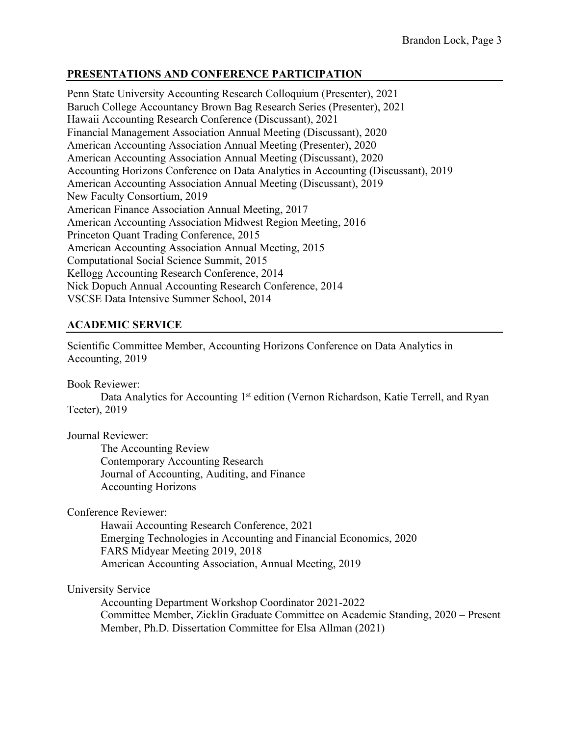## **PRESENTATIONS AND CONFERENCE PARTICIPATION**

Penn State University Accounting Research Colloquium (Presenter), 2021 Baruch College Accountancy Brown Bag Research Series (Presenter), 2021 Hawaii Accounting Research Conference (Discussant), 2021 Financial Management Association Annual Meeting (Discussant), 2020 American Accounting Association Annual Meeting (Presenter), 2020 American Accounting Association Annual Meeting (Discussant), 2020 Accounting Horizons Conference on Data Analytics in Accounting (Discussant), 2019 American Accounting Association Annual Meeting (Discussant), 2019 New Faculty Consortium, 2019 American Finance Association Annual Meeting, 2017 American Accounting Association Midwest Region Meeting, 2016 Princeton Quant Trading Conference, 2015 American Accounting Association Annual Meeting, 2015 Computational Social Science Summit, 2015 Kellogg Accounting Research Conference, 2014 Nick Dopuch Annual Accounting Research Conference, 2014 VSCSE Data Intensive Summer School, 2014

# **ACADEMIC SERVICE**

Scientific Committee Member, Accounting Horizons Conference on Data Analytics in Accounting, 2019

Book Reviewer:

Data Analytics for Accounting 1<sup>st</sup> edition (Vernon Richardson, Katie Terrell, and Ryan Teeter), 2019

Journal Reviewer:

The Accounting Review Contemporary Accounting Research Journal of Accounting, Auditing, and Finance Accounting Horizons

Conference Reviewer:

Hawaii Accounting Research Conference, 2021 Emerging Technologies in Accounting and Financial Economics, 2020 FARS Midyear Meeting 2019, 2018 American Accounting Association, Annual Meeting, 2019

University Service

Accounting Department Workshop Coordinator 2021-2022 Committee Member, Zicklin Graduate Committee on Academic Standing, 2020 – Present Member, Ph.D. Dissertation Committee for Elsa Allman (2021)